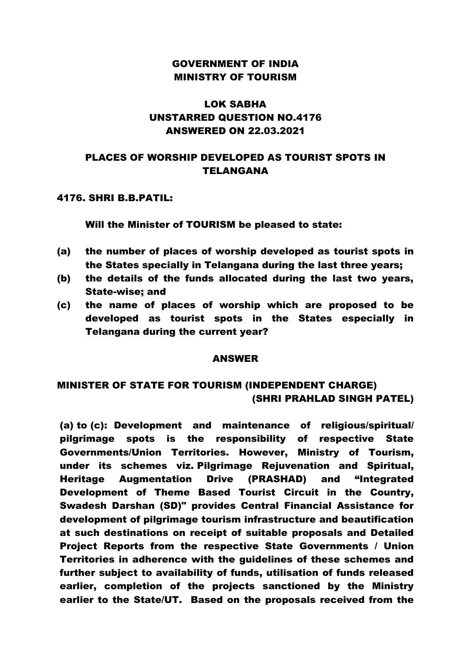### GOVERNMENT OF INDIA MINISTRY OF TOURISM

## LOK SABHA UNSTARRED QUESTION NO.4176 ANSWERED ON 22.03.2021

### PLACES OF WORSHIP DEVELOPED AS TOURIST SPOTS IN TELANGANA

#### 4176. SHRI B.B.PATIL:

Will the Minister of TOURISM be pleased to state:

- (a) the number of places of worship developed as tourist spots in the States specially in Telangana during the last three years;
- (b) the details of the funds allocated during the last two years, State-wise; and
- (c) the name of places of worship which are proposed to be developed as tourist spots in the States especially in Telangana during the current year?

#### ANSWER

# MINISTER OF STATE FOR TOURISM (INDEPENDENT CHARGE) (SHRI PRAHLAD SINGH PATEL)

(a) to (c): Development and maintenance of religious/spiritual/ pilgrimage spots is the responsibility of respective State Governments/Union Territories. However, Ministry of Tourism, under its schemes viz. Pilgrimage Rejuvenation and Spiritual, Heritage Augmentation Drive (PRASHAD) and "Integrated Development of Theme Based Tourist Circuit in the Country, Swadesh Darshan (SD)" provides Central Financial Assistance for development of pilgrimage tourism infrastructure and beautification at such destinations on receipt of suitable proposals and Detailed Project Reports from the respective State Governments / Union Territories in adherence with the guidelines of these schemes and further subject to availability of funds, utilisation of funds released earlier, completion of the projects sanctioned by the Ministry earlier to the State/UT. Based on the proposals received from the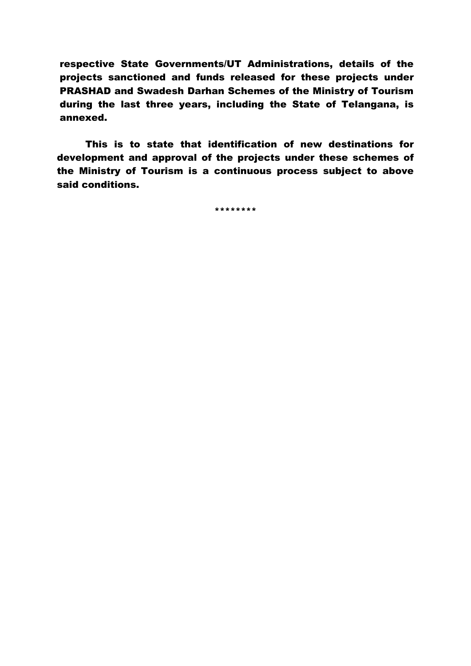respective State Governments/UT Administrations, details of the projects sanctioned and funds released for these projects under PRASHAD and Swadesh Darhan Schemes of the Ministry of Tourism during the last three years, including the State of Telangana, is annexed.

This is to state that identification of new destinations for development and approval of the projects under these schemes of the Ministry of Tourism is a continuous process subject to above said conditions.

\*\*\*\*\*\*\*\*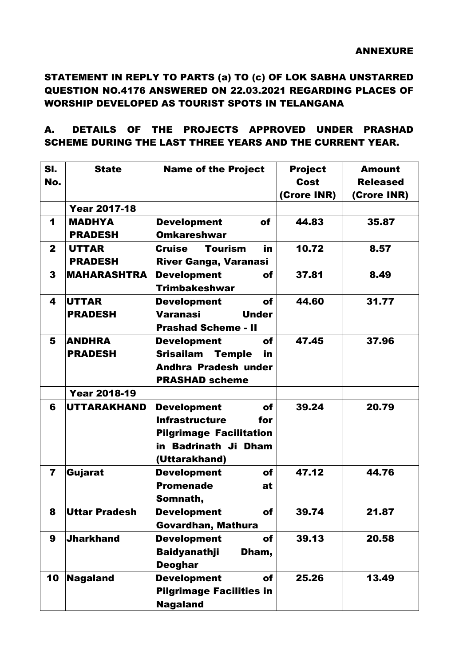# STATEMENT IN REPLY TO PARTS (a) TO (c) OF LOK SABHA UNSTARRED QUESTION NO.4176 ANSWERED ON 22.03.2021 REGARDING PLACES OF WORSHIP DEVELOPED AS TOURIST SPOTS IN TELANGANA

### A. DETAILS OF THE PROJECTS APPROVED UNDER PRASHAD SCHEME DURING THE LAST THREE YEARS AND THE CURRENT YEAR.

| SI.<br>No.              | <b>State</b>                    | <b>Name of the Project</b>                                                                                                          | <b>Project</b><br>Cost<br>(Crore INR) | <b>Amount</b><br><b>Released</b><br>(Crore INR) |
|-------------------------|---------------------------------|-------------------------------------------------------------------------------------------------------------------------------------|---------------------------------------|-------------------------------------------------|
|                         | <b>Year 2017-18</b>             |                                                                                                                                     |                                       |                                                 |
| 1                       | <b>MADHYA</b><br><b>PRADESH</b> | <b>Development</b><br>of<br><b>Omkareshwar</b>                                                                                      | 44.83                                 | 35.87                                           |
| $\mathbf{2}$            | <b>UTTAR</b><br><b>PRADESH</b>  | <b>Tourism</b><br><b>Cruise</b><br>in<br><b>River Ganga, Varanasi</b>                                                               | 10.72                                 | 8.57                                            |
| $\mathbf{3}$            | <b>MAHARASHTRA</b>              | <b>Development</b><br>of<br><b>Trimbakeshwar</b>                                                                                    | 37.81                                 | 8.49                                            |
| 4                       | UTTAR<br><b>PRADESH</b>         | <b>Development</b><br>of<br><b>Varanasi</b><br><b>Under</b><br><b>Prashad Scheme - II</b>                                           | 44.60                                 | 31.77                                           |
| 5                       | <b>ANDHRA</b><br><b>PRADESH</b> | <b>Development</b><br>of<br><b>Srisailam</b><br><b>Temple</b><br>in<br><b>Andhra Pradesh under</b><br><b>PRASHAD scheme</b>         | 47.45                                 | 37.96                                           |
|                         | <b>Year 2018-19</b>             |                                                                                                                                     |                                       |                                                 |
| 6                       | UTTARAKHAND                     | <b>Development</b><br>of<br><b>Infrastructure</b><br>for<br><b>Pilgrimage Facilitation</b><br>in Badrinath Ji Dham<br>(Uttarakhand) | 39.24                                 | 20.79                                           |
| $\overline{\mathbf{r}}$ | Gujarat                         | <b>Development</b><br><b>of</b><br><b>Promenade</b><br>at<br>Somnath,                                                               | 47.12                                 | 44.76                                           |
| 8                       | Uttar Pradesh                   | <b>Development</b><br>of<br>Govardhan, Mathura                                                                                      | 39.74                                 | 21.87                                           |
| $\boldsymbol{9}$        | <b>Jharkhand</b>                | <b>Development</b><br><b>of</b><br><b>Baidyanathji</b><br>Dham,<br><b>Deoghar</b>                                                   | 39.13                                 | 20.58                                           |
| 10                      | Nagaland                        | <b>Development</b><br>of<br><b>Pilgrimage Facilities in</b><br><b>Nagaland</b>                                                      | 25.26                                 | 13.49                                           |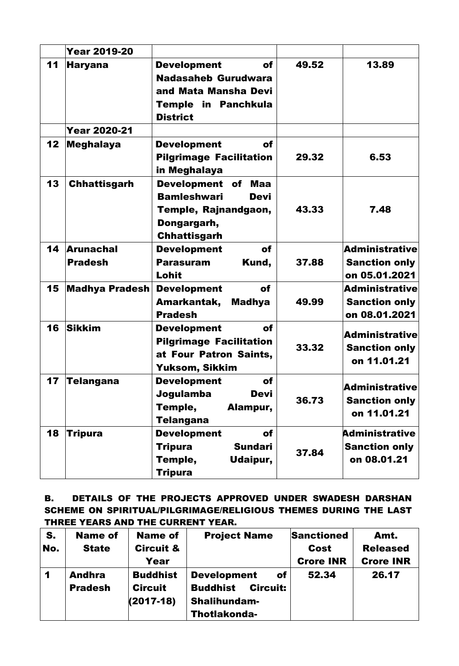|    | <b>Year 2019-20</b>                |                                                                                                                          |       |                                                                |
|----|------------------------------------|--------------------------------------------------------------------------------------------------------------------------|-------|----------------------------------------------------------------|
| 11 | <b>Haryana</b>                     | <b>Development</b><br>of<br><b>Nadasaheb Gurudwara</b><br>and Mata Mansha Devi<br>Temple in Panchkula<br><b>District</b> | 49.52 | 13.89                                                          |
|    | <b>Year 2020-21</b>                |                                                                                                                          |       |                                                                |
| 12 | <b>Meghalaya</b>                   | <b>Development</b><br>of<br><b>Pilgrimage Facilitation</b><br>in Meghalaya                                               | 29.32 | 6.53                                                           |
| 13 | <b>Chhattisgarh</b>                | Development of<br>Maa<br><b>Bamleshwari</b><br>Devi<br>Temple, Rajnandgaon,<br>Dongargarh,<br><b>Chhattisgarh</b>        | 43.33 | 7.48                                                           |
| 14 | <b>Arunachal</b><br><b>Pradesh</b> | <b>Development</b><br>of<br><b>Parasuram</b><br>Kund,<br>Lohit                                                           | 37.88 | <b>Administrative</b><br><b>Sanction only</b><br>on 05.01.2021 |
| 15 | <b>Madhya Pradesh</b>              | <b>Development</b><br><b>of</b><br>Amarkantak,<br><b>Madhya</b><br><b>Pradesh</b>                                        | 49.99 | <b>Administrative</b><br><b>Sanction only</b><br>on 08.01.2021 |
| 16 | <b>Sikkim</b>                      | <b>Development</b><br>of<br><b>Pilgrimage Facilitation</b><br>at Four Patron Saints,<br>Yuksom, Sikkim                   | 33.32 | <b>Administrative</b><br><b>Sanction only</b><br>on 11.01.21   |
| 17 | Telangana                          | <b>Development</b><br><b>of</b><br><b>Devi</b><br>Jogulamba<br>Temple,<br>Alampur,<br><b>Telangana</b>                   | 36.73 | <b>Administrative</b><br><b>Sanction only</b><br>on 11.01.21   |
| 18 | <b>Tripura</b>                     | <b>Development</b><br>of<br><b>Sundari</b><br><b>Tripura</b><br>Temple,<br>Udaipur,<br><b>Tripura</b>                    | 37.84 | <b>Administrative</b><br><b>Sanction only</b><br>on 08.01.21   |

B. DETAILS OF THE PROJECTS APPROVED UNDER SWADESH DARSHAN SCHEME ON SPIRITUAL/PILGRIMAGE/RELIGIOUS THEMES DURING THE LAST THREE YEARS AND THE CURRENT YEAR.

| S.<br>No. | <b>Name of</b><br><b>State</b>  | <b>Name of</b><br><b>Circuit &amp;</b><br>Year   | <b>Project Name</b>                                                                                   | <b>Sanctioned</b><br>Cost<br><b>Crore INR</b> | Amt.<br><b>Released</b><br><b>Crore INR</b> |
|-----------|---------------------------------|--------------------------------------------------|-------------------------------------------------------------------------------------------------------|-----------------------------------------------|---------------------------------------------|
| 1         | <b>Andhra</b><br><b>Pradesh</b> | <b>Buddhist</b><br><b>Circuit</b><br>$(2017-18)$ | <b>Development</b><br>of<br><b>Buddhist</b><br><b>Circuit:</b><br><b>Shalihundam-</b><br>Thotlakonda- | 52.34                                         | 26.17                                       |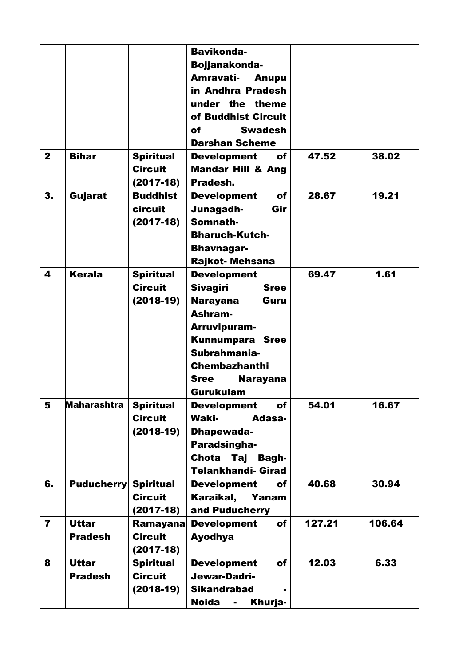|                         |                                |                                                   | <b>Bavikonda-</b><br>Bojjanakonda-<br>Amravati-<br>Anupu<br>in Andhra Pradesh<br>under the theme<br>of Buddhist Circuit<br><b>Swadesh</b><br>of<br><b>Darshan Scheme</b>                                                           |        |        |
|-------------------------|--------------------------------|---------------------------------------------------|------------------------------------------------------------------------------------------------------------------------------------------------------------------------------------------------------------------------------------|--------|--------|
| $\mathbf{2}$            | <b>Bihar</b>                   | <b>Spiritual</b><br><b>Circuit</b><br>$(2017-18)$ | <b>Development</b><br>of<br><b>Mandar Hill &amp; Ang</b><br>Pradesh.                                                                                                                                                               | 47.52  | 38.02  |
| 3.                      | Gujarat                        | <b>Buddhist</b><br>circuit<br>$(2017-18)$         | of<br><b>Development</b><br>Junagadh-<br>Gir<br>Somnath-<br><b>Bharuch-Kutch-</b><br><b>Bhavnagar-</b><br>Rajkot- Mehsana                                                                                                          | 28.67  | 19.21  |
| 4                       | Kerala                         | <b>Spiritual</b><br><b>Circuit</b><br>$(2018-19)$ | <b>Development</b><br><b>Sivagiri</b><br><b>Sree</b><br><b>Narayana</b><br>Guru<br>Ashram-<br>Arruvipuram-<br><b>Kunnumpara Sree</b><br>Subrahmania-<br><b>Chembazhanthi</b><br><b>Sree</b><br><b>Narayana</b><br><b>Gurukulam</b> | 69.47  | 1.61   |
| 5                       | <b>Maharashtra</b>             | <b>Spiritual</b><br><b>Circuit</b><br>$(2018-19)$ | of<br><b>Development</b><br><b>Waki-</b><br>Adasa-<br><b>Dhapewada-</b><br><b>Paradsingha-</b><br>Chota Taj<br>Bagh-<br><b>Telankhandi- Girad</b>                                                                                  | 54.01  | 16.67  |
| 6.                      | <b>Puducherry</b>              | <b>Spiritual</b><br><b>Circuit</b><br>$(2017-18)$ | <b>Development</b><br>of<br>Karaikal,<br>Yanam<br>and Puducherry                                                                                                                                                                   | 40.68  | 30.94  |
| $\overline{\mathbf{7}}$ | <b>Uttar</b><br><b>Pradesh</b> | <b>Ramayana</b><br><b>Circuit</b><br>$(2017-18)$  | of<br><b>Development</b><br><b>Ayodhya</b>                                                                                                                                                                                         | 127.21 | 106.64 |
| 8                       | <b>Uttar</b><br><b>Pradesh</b> | <b>Spiritual</b><br><b>Circuit</b><br>$(2018-19)$ | <b>Development</b><br>of<br>Jewar-Dadri-<br><b>Sikandrabad</b><br>Khurja-<br><b>Noida</b><br>$\blacksquare$                                                                                                                        | 12.03  | 6.33   |